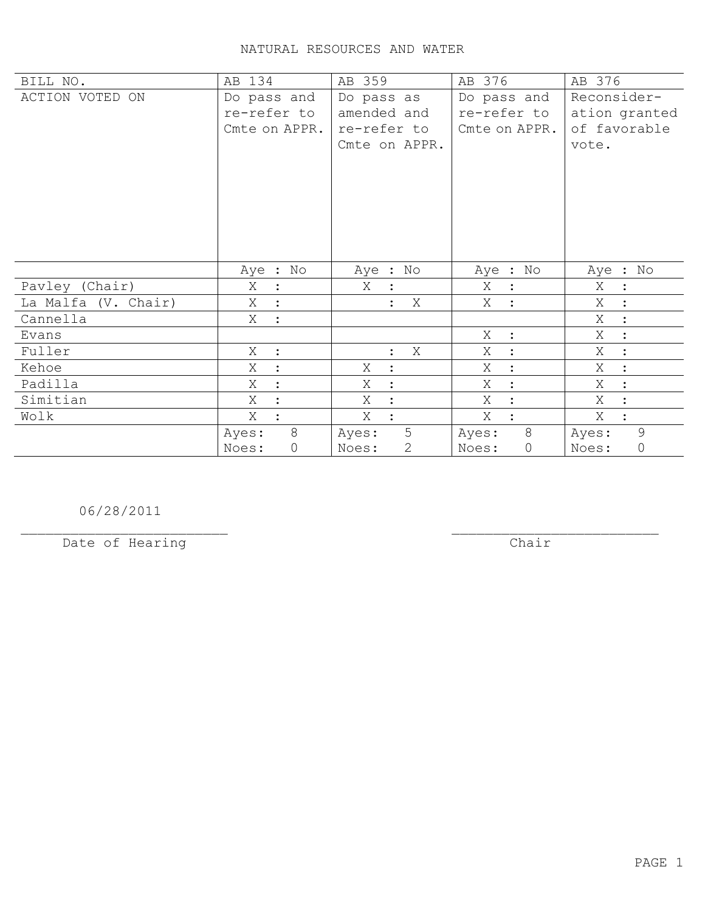| BILL NO.            | AB 134              | AB 359                | AB 376              | AB 376              |
|---------------------|---------------------|-----------------------|---------------------|---------------------|
| ACTION VOTED ON     | Do pass and         | Do pass as            | Do pass and         | Reconsider-         |
|                     | re-refer to         | amended and           | re-refer to         | ation granted       |
|                     | Cmte on APPR.       | re-refer to           | Cmte on APPR.       | of favorable        |
|                     |                     | Cmte on APPR.         |                     | vote.               |
|                     |                     |                       |                     |                     |
|                     |                     |                       |                     |                     |
|                     |                     |                       |                     |                     |
|                     |                     |                       |                     |                     |
|                     |                     |                       |                     |                     |
|                     |                     |                       |                     |                     |
|                     |                     |                       |                     |                     |
|                     | Aye : No            | Aye : No              | Aye : No            | Aye : No            |
| Pavley (Chair)      | Χ                   | X                     | X<br>$\ddot{\cdot}$ | Χ<br>$\ddot{\cdot}$ |
| La Malfa (V. Chair) | Χ                   | X                     | X                   | Χ<br>$\ddot{\cdot}$ |
| Cannella            | Χ<br>$\mathbb{R}^2$ |                       |                     | X<br>$\ddot{\cdot}$ |
| Evans               |                     |                       | X<br>$\ddot{\cdot}$ | X<br>$\ddot{\cdot}$ |
| Fuller              | X<br>$\sim$ 1.      | X<br>$\ddot{\cdot}$   | Χ<br>$\ddot{\cdot}$ | Χ<br>$\ddot{\cdot}$ |
| Kehoe               | Χ                   | Χ<br>$\ddot{\cdot}$   | Χ                   | Χ<br>$\ddot{\cdot}$ |
| Padilla             | X                   | X<br>$\ddot{\cdot}$   | Χ                   | Χ<br>$\ddot{\cdot}$ |
| Simitian            | Χ                   | Χ<br>$\ddot{\cdot}$   | X<br>$\ddot{\cdot}$ | X<br>$\ddot{\cdot}$ |
| Wolk                | Χ                   | Χ                     | X                   | Χ<br>$\ddot{\cdot}$ |
|                     | 8<br>Ayes:          | 5<br>Ayes:            | 8<br>Ayes:          | 9<br>Ayes:          |
|                     | 0<br>Noes:          | $\mathbf{2}$<br>Noes: | 0<br>Noes:          | 0<br>Noes:          |

06/28/2011

Date of Hearing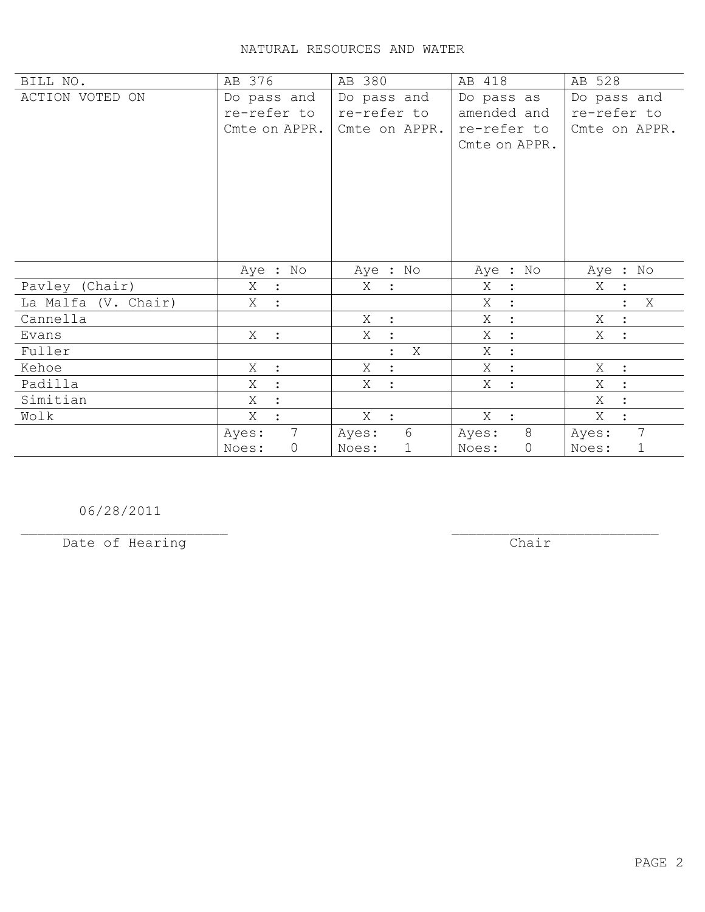| BILL NO.            | AB 376                   | AB 380                              | AB 418              | AB 528               |
|---------------------|--------------------------|-------------------------------------|---------------------|----------------------|
| ACTION VOTED ON     | Do pass and              | Do pass and                         | Do pass as          | Do pass and          |
|                     | re-refer to              | re-refer to                         | amended and         | re-refer to          |
|                     | Cmte on APPR.            | Cmte on APPR.                       | re-refer to         | Cmte on APPR.        |
|                     |                          |                                     | Cmte on APPR.       |                      |
|                     |                          |                                     |                     |                      |
|                     |                          |                                     |                     |                      |
|                     |                          |                                     |                     |                      |
|                     |                          |                                     |                     |                      |
|                     |                          |                                     |                     |                      |
|                     |                          |                                     |                     |                      |
|                     | Aye : No                 | Aye : No                            | Aye : No            | Aye : No             |
| Pavley (Chair)      | Χ<br>$\ddot{\cdot}$      | X<br>$\ddot{\phantom{1}}$           | Χ<br>$\ddot{\cdot}$ | X                    |
| La Malfa (V. Chair) | Χ                        |                                     | X                   | X                    |
| Cannella            |                          | X<br>$\sim$ 100                     | Χ<br>$\ddot{\cdot}$ | Χ<br>$\mathbf{L}$    |
| Evans               | $X$ :                    | Χ<br>$\langle \cdot, \cdot \rangle$ | X<br>$\ddot{\cdot}$ | X<br>$\mathbf{L}$    |
| Fuller              |                          | Χ<br>$\ddot{\cdot}$                 | Χ<br>$\ddot{\cdot}$ |                      |
| Kehoe               | Χ<br>$\ddot{\cdot}$      | X<br>$\cdot$ :                      | X<br>$\cdot$        | X :                  |
| Padilla             | X<br>$\ddot{\cdot}$      | X<br>$\mathbf{r}$                   | X<br>$\ddot{\cdot}$ | X<br>$\ddot{\cdot}$  |
| Simitian            | X                        |                                     |                     | X                    |
| Wolk                | Χ                        | $X$ :                               | $X$ :               | Χ<br>$\ddot{\cdot}$  |
|                     | $7\overline{ }$<br>Ayes: | 6<br>Ayes:                          | 8<br>Ayes:          | 7<br>Ayes:           |
|                     | Noes:<br>$\mathsf{O}$    | $\mathbf 1$<br>Noes:                | $\circ$<br>Noes:    | Noes:<br>$\mathbf 1$ |

06/28/2011

Date of Hearing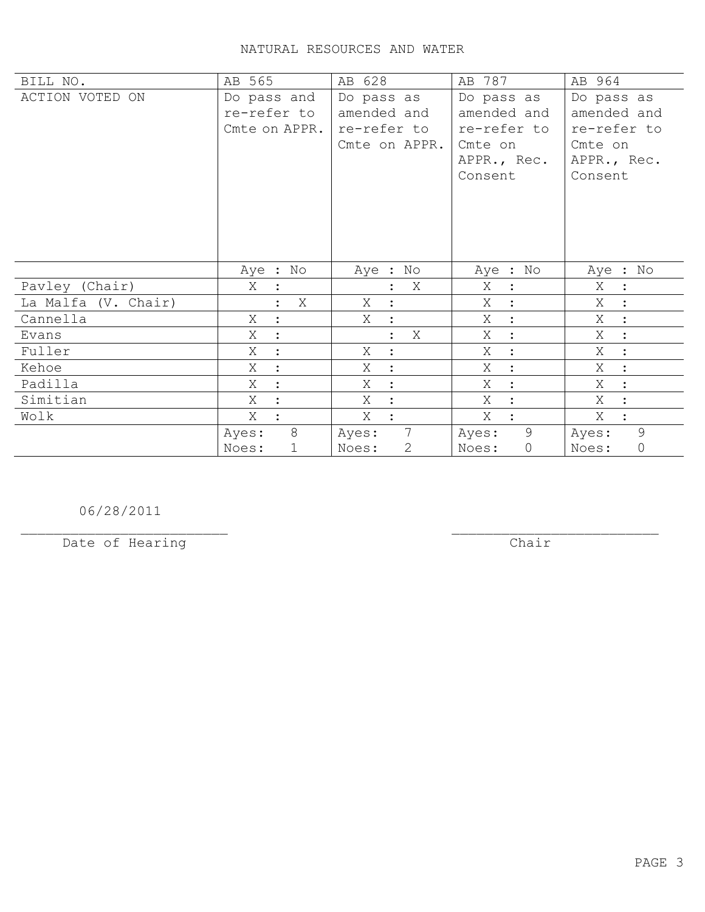| BILL NO.            | AB 565              | AB 628                   | AB 787              | AB 964                    |
|---------------------|---------------------|--------------------------|---------------------|---------------------------|
| ACTION VOTED ON     | Do pass and         | Do pass as               | Do pass as          | Do pass as                |
|                     | re-refer to         | amended and              | amended and         | amended and               |
|                     | Cmte on APPR.       | re-refer to              | re-refer to         | re-refer to               |
|                     |                     | Cmte on APPR.            | Cmte on             | Cmte on                   |
|                     |                     |                          | APPR., Rec.         | APPR., Rec.               |
|                     |                     |                          | Consent             | Consent                   |
|                     |                     |                          |                     |                           |
|                     |                     |                          |                     |                           |
|                     |                     |                          |                     |                           |
|                     |                     |                          |                     |                           |
|                     | Aye : No            | Aye : No                 | Aye : No            | Aye : No                  |
|                     |                     |                          |                     |                           |
| Pavley (Chair)      | X                   | X                        | X<br>$\ddot{\cdot}$ | Χ<br>$\ddot{\phantom{0}}$ |
|                     |                     |                          |                     |                           |
| La Malfa (V. Chair) | X                   | Χ<br>$\ddot{\cdot}$      | X<br>$\ddot{\cdot}$ | Χ<br>$\sim$ 1 $^{\circ}$  |
| Cannella            | Χ<br>$\ddot{\cdot}$ | Χ<br>$\mathbb{R}^2$      | Χ<br>$\ddot{\cdot}$ | Χ<br>$\sim$ 1 $^{\circ}$  |
| Evans               | X<br>$\ddot{\cdot}$ | X<br>$\ddot{\cdot}$      | X<br>$\ddot{\cdot}$ | X<br>$\ddot{\cdot}$       |
| Fuller              | Χ<br>$\bullet$      | Χ<br>$\ddot{\cdot}$      | Χ<br>$\ddot{\cdot}$ | Χ<br>$\ddot{\cdot}$       |
| Kehoe               | Χ<br>$\ddot{\cdot}$ | Χ<br>$\ddot{\cdot}$      | Χ<br>$\ddot{\cdot}$ | Χ<br>$\ddot{\cdot}$       |
| Padilla             | X                   | X<br>$\ddot{\cdot}$      | Χ<br>$\ddot{\cdot}$ | X<br>$\ddot{\cdot}$       |
| Simitian            | X                   | X<br>$\ddot{\cdot}$      | X<br>$\ddot{\cdot}$ | X<br>$\ddot{\cdot}$       |
| Wolk                | Χ                   | Χ<br>$\cdot$             | X                   | Χ                         |
|                     | 8<br>Ayes:          | $7\phantom{.0}$<br>Ayes: | 9<br>Ayes:          | 9<br>Ayes:                |

06/28/2011

Date of Hearing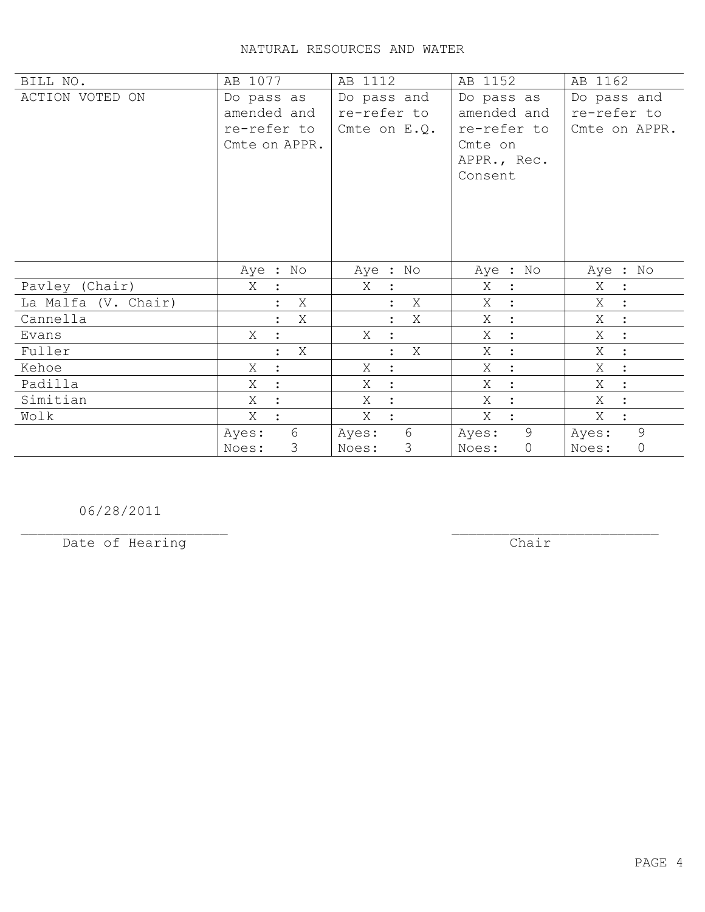| BILL NO.            | AB 1077                   | AB 1112                   | AB 1152             | AB 1162                   |
|---------------------|---------------------------|---------------------------|---------------------|---------------------------|
| ACTION VOTED ON     | Do pass as                | Do pass and               | Do pass as          | Do pass and               |
|                     | amended and               | re-refer to               | amended and         | re-refer to               |
|                     | re-refer to               | Cmte on $E.Q.$            | re-refer to         | Cmte on APPR.             |
|                     | Cmte on APPR.             |                           | Cmte on             |                           |
|                     |                           |                           | APPR., Rec.         |                           |
|                     |                           |                           | Consent             |                           |
|                     |                           |                           |                     |                           |
|                     |                           |                           |                     |                           |
|                     |                           |                           |                     |                           |
|                     |                           |                           |                     |                           |
|                     | Aye : No                  | Aye : No                  | Aye : No            | Aye : No                  |
| Pavley (Chair)      | Χ<br>$\mathbf{L}$         | Χ                         | X<br>$\ddot{\cdot}$ | X                         |
| La Malfa (V. Chair) | Χ                         | X                         | X<br>$\ddot{\cdot}$ | $\sim$ 1<br>X<br>$\sim$ : |
| Cannella            | Χ                         | Χ                         | X<br>$\ddot{\cdot}$ | X<br>$\mathbf{r}$         |
| Evans               | Χ                         | X                         | Χ<br>$\ddot{\cdot}$ | Χ<br>$\mathbb{R}^2$       |
| Fuller              | Χ<br>$\ddot{\phantom{a}}$ | Χ<br>$\ddot{\phantom{a}}$ | Χ<br>$\ddot{\cdot}$ | Χ<br>$\sim$ 1 $^{\circ}$  |
| Kehoe               | X<br>$\ddot{\cdot}$       | Χ                         | Χ<br>$\ddot{\cdot}$ | X<br>$\ddot{\cdot}$       |
|                     | ÷                         | Χ<br>$\bullet$            | $\ddot{\cdot}$      | X<br>$\ddot{\cdot}$       |
| Padilla             | Χ                         |                           | Χ                   |                           |
| Simitian            | Χ<br>$\ddot{\cdot}$       | X                         | Χ<br>$\ddot{\cdot}$ | X                         |
| Wolk                | $X_{-}$<br>$\cdot$        | X                         | X                   | X<br>$\ddot{\cdot}$       |
|                     | $6\phantom{.}6$<br>Ayes:  | $6\,$<br>Ayes:            | 9<br>Ayes:          | 9<br>Ayes:                |
|                     | 3<br>Noes:                | 3<br>Noes:                | $\circ$<br>Noes:    | 0<br>Noes:                |

06/28/2011

Date of Hearing